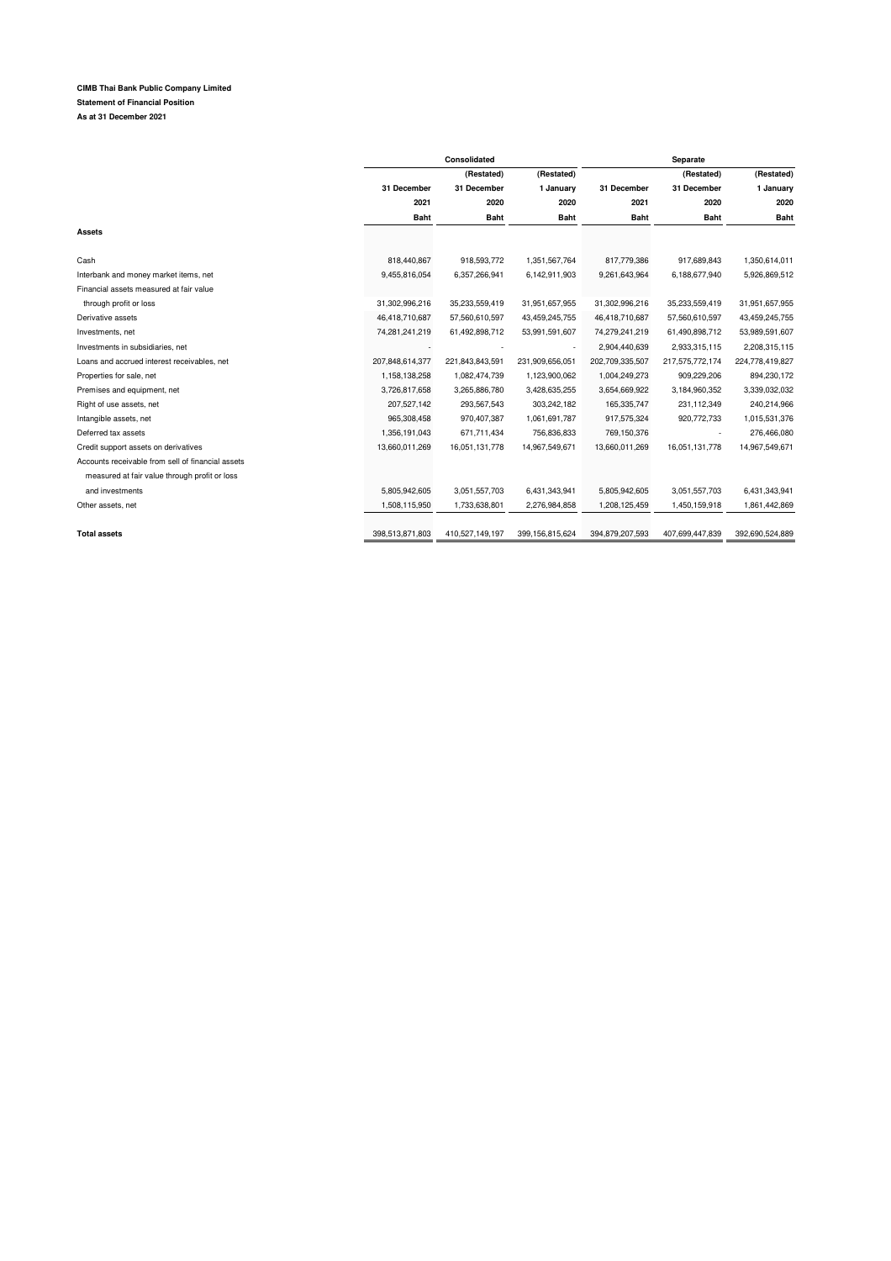## **CIMB Thai Bank Public Company Limited Statement of Financial Position As at 31 December 2021**

|                                                   |                 | Consolidated    |                 |                 | Separate        |                 |  |  |
|---------------------------------------------------|-----------------|-----------------|-----------------|-----------------|-----------------|-----------------|--|--|
|                                                   |                 | (Restated)      | (Restated)      | (Restated)      |                 | (Restated)      |  |  |
|                                                   | 31 December     | 31 December     | 1 January       | 31 December     | 31 December     | 1 January       |  |  |
|                                                   | 2021            | 2020            | 2020            | 2021            | 2020            | 2020            |  |  |
|                                                   | <b>Baht</b>     | <b>Baht</b>     | <b>Baht</b>     | <b>Baht</b>     | <b>Baht</b>     | <b>Baht</b>     |  |  |
| Assets                                            |                 |                 |                 |                 |                 |                 |  |  |
|                                                   |                 |                 |                 |                 |                 |                 |  |  |
| Cash                                              | 818,440,867     | 918,593,772     | 1,351,567,764   | 817,779,386     | 917,689,843     | 1,350,614,011   |  |  |
| Interbank and money market items, net             | 9,455,816,054   | 6,357,266,941   | 6,142,911,903   | 9,261,643,964   | 6,188,677,940   | 5,926,869,512   |  |  |
| Financial assets measured at fair value           |                 |                 |                 |                 |                 |                 |  |  |
| through profit or loss                            | 31,302,996,216  | 35,233,559,419  | 31,951,657,955  | 31,302,996,216  | 35,233,559,419  | 31,951,657,955  |  |  |
| Derivative assets                                 | 46,418,710,687  | 57,560,610,597  | 43,459,245,755  | 46,418,710,687  | 57,560,610,597  | 43,459,245,755  |  |  |
| Investments, net                                  | 74,281,241,219  | 61,492,898,712  | 53,991,591,607  | 74,279,241,219  | 61,490,898,712  | 53,989,591,607  |  |  |
| Investments in subsidiaries, net                  |                 |                 |                 | 2,904,440,639   | 2,933,315,115   | 2,208,315,115   |  |  |
| Loans and accrued interest receivables, net       | 207,848,614,377 | 221,843,843,591 | 231,909,656,051 | 202,709,335,507 | 217,575,772,174 | 224,778,419,827 |  |  |
| Properties for sale, net                          | 1,158,138,258   | 1,082,474,739   | 1,123,900,062   | 1,004,249,273   | 909,229,206     | 894,230,172     |  |  |
| Premises and equipment, net                       | 3,726,817,658   | 3,265,886,780   | 3,428,635,255   | 3,654,669,922   | 3,184,960,352   | 3,339,032,032   |  |  |
| Right of use assets, net                          | 207,527,142     | 293,567,543     | 303,242,182     | 165,335,747     | 231,112,349     | 240,214,966     |  |  |
| Intangible assets, net                            | 965,308,458     | 970,407,387     | 1,061,691,787   | 917,575,324     | 920,772,733     | 1,015,531,376   |  |  |
| Deferred tax assets                               | 1,356,191,043   | 671,711,434     | 756,836,833     | 769,150,376     |                 | 276,466,080     |  |  |
| Credit support assets on derivatives              | 13,660,011,269  | 16,051,131,778  | 14,967,549,671  | 13,660,011,269  | 16,051,131,778  | 14,967,549,671  |  |  |
| Accounts receivable from sell of financial assets |                 |                 |                 |                 |                 |                 |  |  |
| measured at fair value through profit or loss     |                 |                 |                 |                 |                 |                 |  |  |
| and investments                                   | 5,805,942,605   | 3,051,557,703   | 6,431,343,941   | 5,805,942,605   | 3,051,557,703   | 6,431,343,941   |  |  |
| Other assets, net                                 | 1,508,115,950   | 1,733,638,801   | 2,276,984,858   | 1,208,125,459   | 1,450,159,918   | 1,861,442,869   |  |  |
|                                                   |                 |                 |                 |                 |                 |                 |  |  |
| <b>Total assets</b>                               | 398,513,871,803 | 410,527,149,197 | 399,156,815,624 | 394,879,207,593 | 407,699,447,839 | 392,690,524,889 |  |  |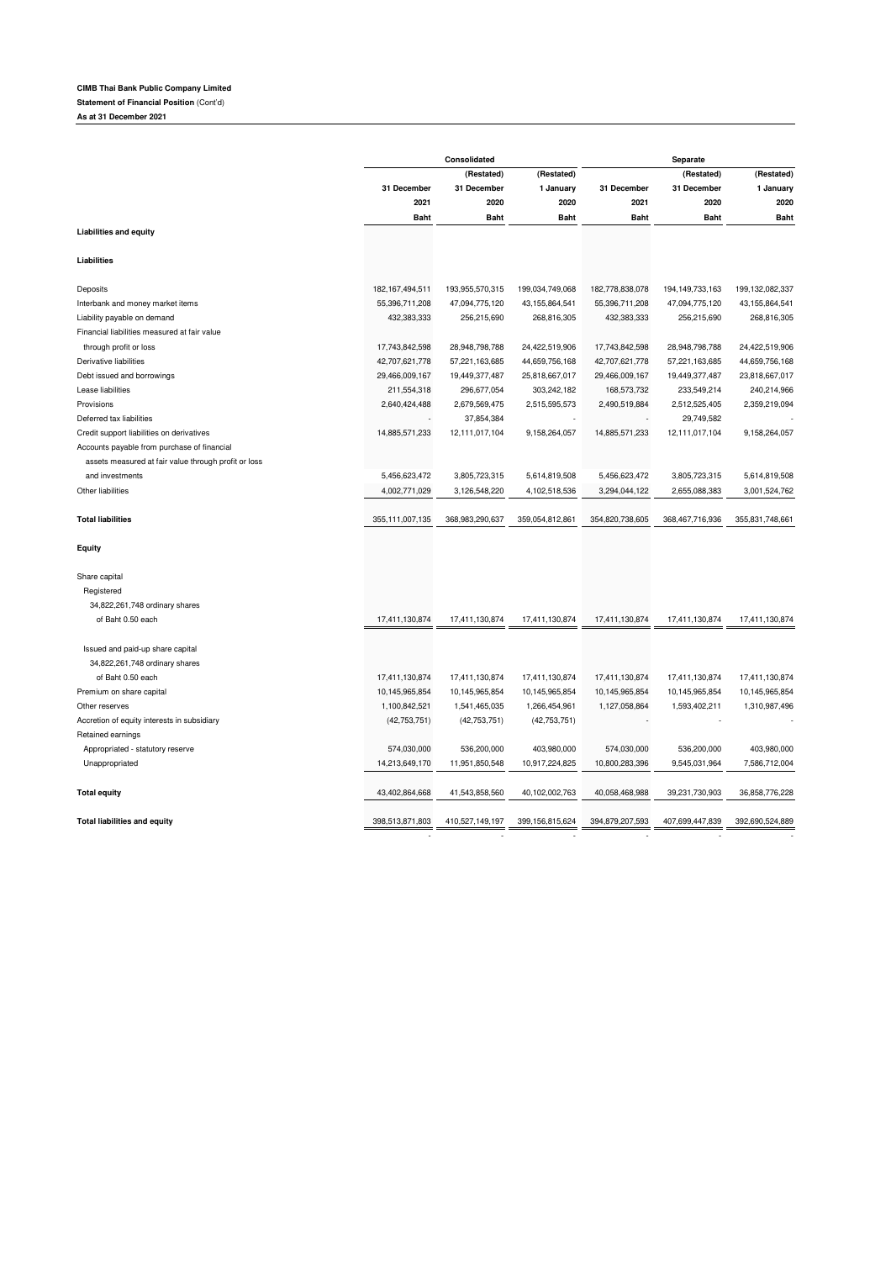## **CIMB Thai Bank Public Company Limited**

**Statement of Financial Position** (Cont'd)

**As at 31 December 2021**

|                                                      | Consolidated       |                 |                 | Separate        |                    |                 |  |
|------------------------------------------------------|--------------------|-----------------|-----------------|-----------------|--------------------|-----------------|--|
|                                                      |                    | (Restated)      | (Restated)      |                 | (Restated)         | (Restated)      |  |
|                                                      | 31 December        | 31 December     | 1 January       | 31 December     | 31 December        | 1 January       |  |
|                                                      | 2021               | 2020            | 2020            | 2021            | 2020               | 2020            |  |
|                                                      | <b>Baht</b>        | <b>Baht</b>     | <b>Baht</b>     | <b>Baht</b>     | <b>Baht</b>        | <b>Baht</b>     |  |
| <b>Liabilities and equity</b>                        |                    |                 |                 |                 |                    |                 |  |
| Liabilities                                          |                    |                 |                 |                 |                    |                 |  |
| Deposits                                             | 182, 167, 494, 511 | 193,955,570,315 | 199,034,749,068 | 182,778,838,078 | 194, 149, 733, 163 | 199,132,082,337 |  |
| Interbank and money market items                     | 55,396,711,208     | 47,094,775,120  | 43,155,864,541  | 55,396,711,208  | 47,094,775,120     | 43,155,864,541  |  |
| Liability payable on demand                          | 432,383,333        | 256,215,690     | 268,816,305     | 432,383,333     | 256,215,690        | 268,816,305     |  |
| Financial liabilities measured at fair value         |                    |                 |                 |                 |                    |                 |  |
| through profit or loss                               | 17,743,842,598     | 28,948,798,788  | 24,422,519,906  | 17,743,842,598  | 28,948,798,788     | 24,422,519,906  |  |
| Derivative liabilities                               | 42,707,621,778     | 57,221,163,685  | 44,659,756,168  | 42,707,621,778  | 57,221,163,685     | 44,659,756,168  |  |
| Debt issued and borrowings                           | 29,466,009,167     | 19,449,377,487  | 25,818,667,017  | 29,466,009,167  | 19,449,377,487     | 23,818,667,017  |  |
| Lease liabilities                                    | 211,554,318        | 296,677,054     | 303,242,182     | 168,573,732     | 233,549,214        | 240,214,966     |  |
| Provisions                                           | 2,640,424,488      | 2,679,569,475   | 2,515,595,573   | 2,490,519,884   | 2,512,525,405      | 2,359,219,094   |  |
| Deferred tax liabilities                             |                    | 37,854,384      |                 |                 | 29,749,582         |                 |  |
| Credit support liabilities on derivatives            | 14,885,571,233     | 12,111,017,104  | 9,158,264,057   | 14,885,571,233  | 12,111,017,104     | 9,158,264,057   |  |
| Accounts payable from purchase of financial          |                    |                 |                 |                 |                    |                 |  |
| assets measured at fair value through profit or loss |                    |                 |                 |                 |                    |                 |  |
| and investments                                      | 5,456,623,472      | 3,805,723,315   | 5,614,819,508   | 5,456,623,472   | 3,805,723,315      | 5,614,819,508   |  |
| Other liabilities                                    | 4,002,771,029      | 3,126,548,220   | 4,102,518,536   | 3,294,044,122   | 2,655,088,383      | 3,001,524,762   |  |
|                                                      |                    |                 |                 |                 |                    |                 |  |
| <b>Total liabilities</b>                             | 355,111,007,135    | 368,983,290,637 | 359,054,812,861 | 354,820,738,605 | 368,467,716,936    | 355,831,748,661 |  |
| Equity                                               |                    |                 |                 |                 |                    |                 |  |
| Share capital                                        |                    |                 |                 |                 |                    |                 |  |
| Registered                                           |                    |                 |                 |                 |                    |                 |  |
| 34,822,261,748 ordinary shares                       |                    |                 |                 |                 |                    |                 |  |
| of Baht 0.50 each                                    | 17,411,130,874     | 17,411,130,874  | 17,411,130,874  | 17,411,130,874  | 17,411,130,874     | 17,411,130,874  |  |
| Issued and paid-up share capital                     |                    |                 |                 |                 |                    |                 |  |
| 34,822,261,748 ordinary shares                       |                    |                 |                 |                 |                    |                 |  |
| of Baht 0.50 each                                    | 17,411,130,874     | 17,411,130,874  | 17,411,130,874  | 17,411,130,874  | 17,411,130,874     | 17,411,130,874  |  |
| Premium on share capital                             | 10,145,965,854     | 10,145,965,854  | 10,145,965,854  | 10,145,965,854  | 10,145,965,854     | 10,145,965,854  |  |
| Other reserves                                       | 1,100,842,521      | 1,541,465,035   | 1,266,454,961   | 1,127,058,864   | 1,593,402,211      | 1,310,987,496   |  |
| Accretion of equity interests in subsidiary          | (42, 753, 751)     | (42, 753, 751)  | (42, 753, 751)  |                 |                    |                 |  |
| Retained earnings                                    |                    |                 |                 |                 |                    |                 |  |
| Appropriated - statutory reserve                     | 574,030,000        | 536,200,000     | 403,980,000     | 574,030,000     | 536,200,000        | 403,980,000     |  |
| Unappropriated                                       | 14,213,649,170     | 11,951,850,548  | 10,917,224,825  | 10,800,283,396  | 9,545,031,964      | 7,586,712,004   |  |
|                                                      |                    |                 |                 |                 |                    |                 |  |
| <b>Total equity</b>                                  | 43,402,864,668     | 41,543,858,560  | 40,102,002,763  | 40.058.468.988  | 39,231,730,903     | 36,858,776,228  |  |
| <b>Total liabilities and equity</b>                  | 398,513,871,803    | 410,527,149,197 | 399,156,815,624 | 394,879,207,593 | 407,699,447,839    | 392,690,524,889 |  |
|                                                      |                    |                 |                 |                 |                    |                 |  |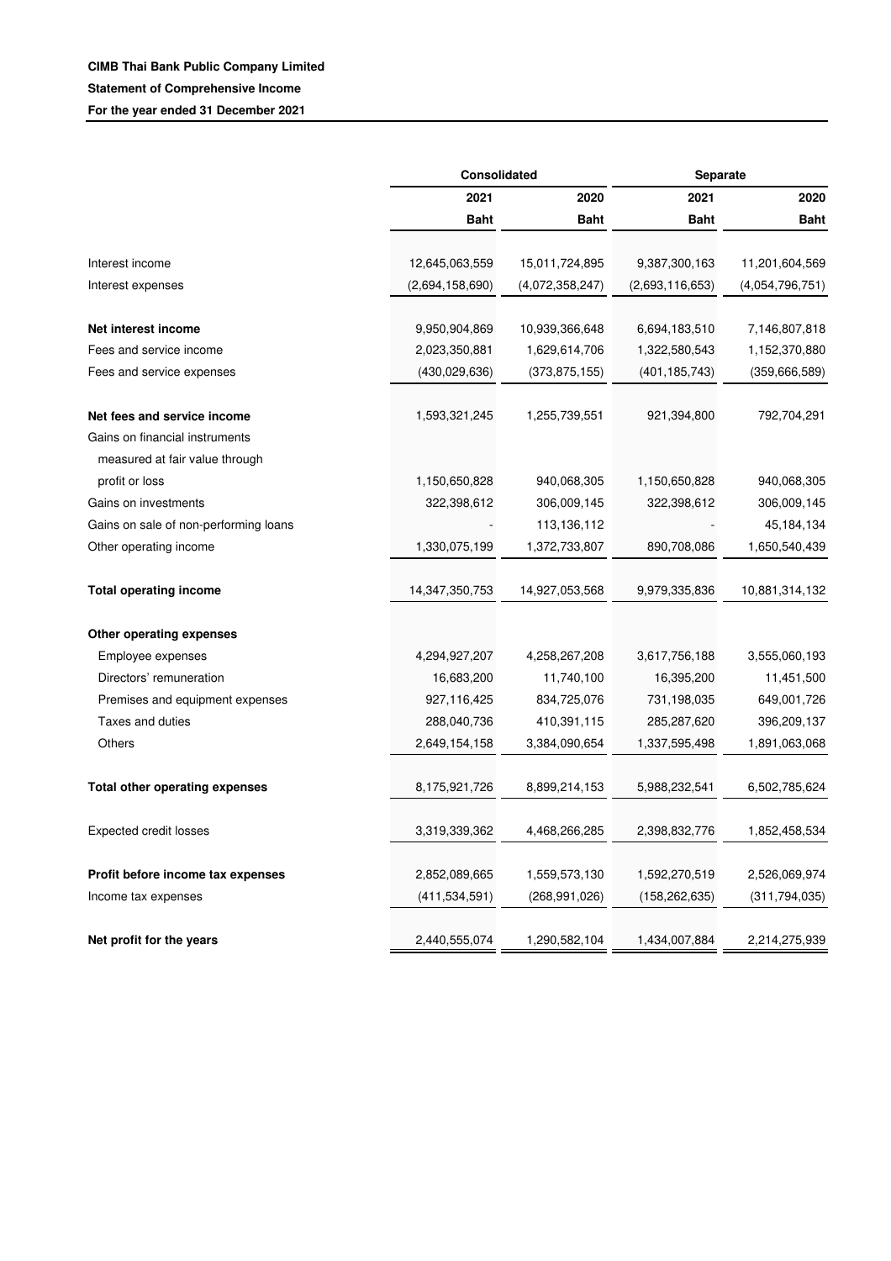|                                       | Consolidated    |                 | Separate        |                 |  |
|---------------------------------------|-----------------|-----------------|-----------------|-----------------|--|
|                                       | 2021            | 2020            |                 | 2020            |  |
|                                       | <b>Baht</b>     | <b>Baht</b>     | <b>Baht</b>     | <b>Baht</b>     |  |
| Interest income                       | 12,645,063,559  | 15,011,724,895  | 9,387,300,163   | 11,201,604,569  |  |
| Interest expenses                     | (2,694,158,690) | (4,072,358,247) | (2,693,116,653) | (4,054,796,751) |  |
|                                       |                 |                 |                 |                 |  |
| Net interest income                   | 9,950,904,869   | 10,939,366,648  | 6,694,183,510   | 7,146,807,818   |  |
| Fees and service income               | 2,023,350,881   | 1,629,614,706   | 1,322,580,543   | 1,152,370,880   |  |
| Fees and service expenses             | (430, 029, 636) | (373, 875, 155) | (401, 185, 743) | (359, 666, 589) |  |
| Net fees and service income           | 1,593,321,245   | 1,255,739,551   | 921,394,800     | 792,704,291     |  |
| Gains on financial instruments        |                 |                 |                 |                 |  |
| measured at fair value through        |                 |                 |                 |                 |  |
| profit or loss                        | 1,150,650,828   | 940,068,305     | 1,150,650,828   | 940,068,305     |  |
| Gains on investments                  | 322,398,612     | 306,009,145     | 322,398,612     | 306,009,145     |  |
| Gains on sale of non-performing loans |                 | 113,136,112     |                 | 45,184,134      |  |
| Other operating income                | 1,330,075,199   | 1,372,733,807   | 890,708,086     | 1,650,540,439   |  |
| <b>Total operating income</b>         | 14,347,350,753  | 14,927,053,568  | 9,979,335,836   | 10,881,314,132  |  |
| Other operating expenses              |                 |                 |                 |                 |  |
| Employee expenses                     | 4,294,927,207   | 4,258,267,208   | 3,617,756,188   | 3,555,060,193   |  |
| Directors' remuneration               | 16,683,200      | 11,740,100      | 16,395,200      | 11,451,500      |  |
| Premises and equipment expenses       | 927,116,425     | 834,725,076     | 731,198,035     | 649,001,726     |  |
| Taxes and duties                      | 288,040,736     | 410,391,115     | 285,287,620     | 396,209,137     |  |
| Others                                | 2,649,154,158   | 3,384,090,654   | 1,337,595,498   | 1,891,063,068   |  |
| <b>Total other operating expenses</b> | 8,175,921,726   | 8,899,214,153   | 5,988,232,541   | 6,502,785,624   |  |
| <b>Expected credit losses</b>         | 3,319,339,362   | 4,468,266,285   | 2,398,832,776   | 1,852,458,534   |  |
|                                       |                 |                 |                 |                 |  |
| Profit before income tax expenses     | 2,852,089,665   | 1,559,573,130   | 1,592,270,519   | 2,526,069,974   |  |
| Income tax expenses                   | (411, 534, 591) | (268, 991, 026) | (158, 262, 635) | (311, 794, 035) |  |
| Net profit for the years              | 2,440,555,074   | 1,290,582,104   | 1,434,007,884   | 2,214,275,939   |  |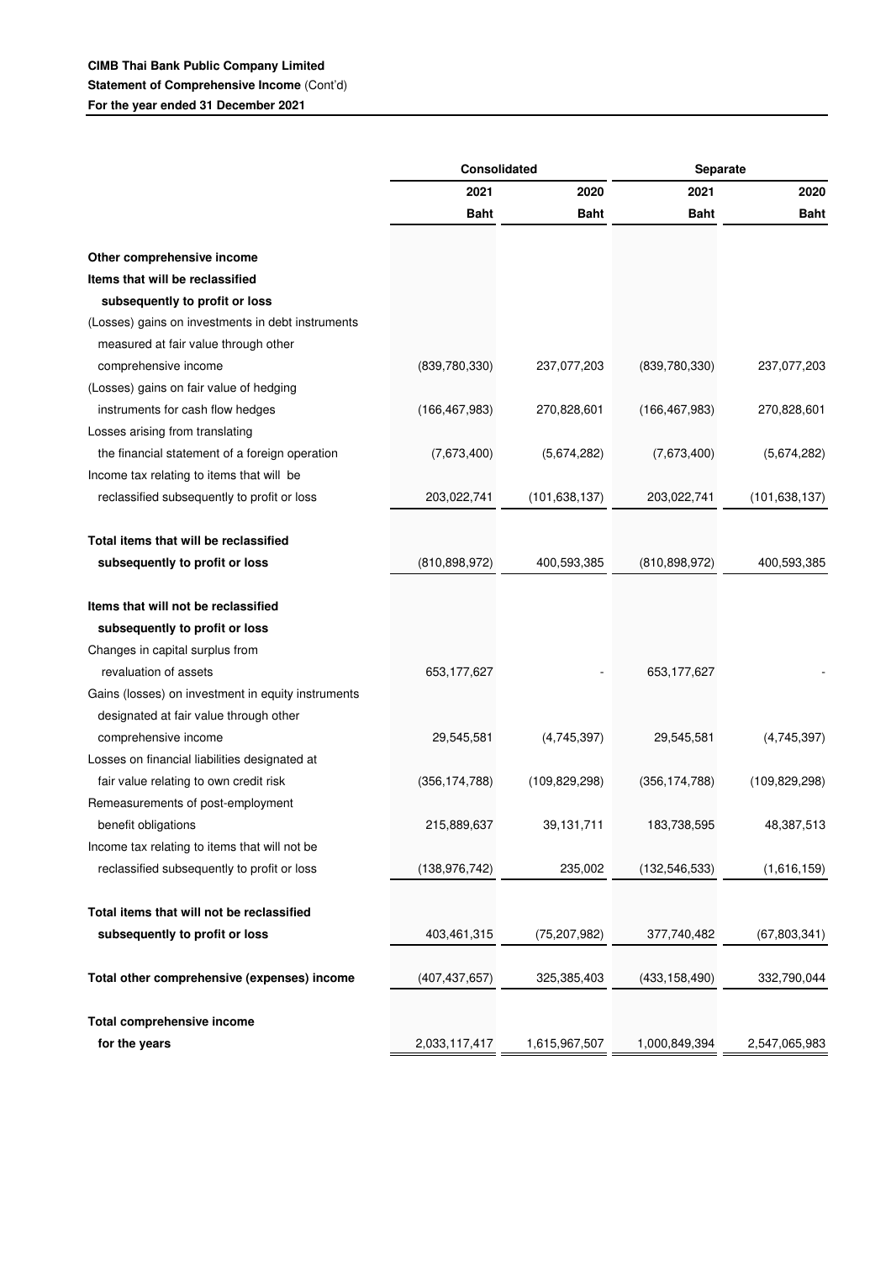|                                                    | Consolidated    |                 | Separate        |                 |  |
|----------------------------------------------------|-----------------|-----------------|-----------------|-----------------|--|
|                                                    | 2021            | 2020            | 2021            | 2020            |  |
|                                                    | <b>Baht</b>     | <b>Baht</b>     | <b>Baht</b>     | <b>Baht</b>     |  |
|                                                    |                 |                 |                 |                 |  |
| Other comprehensive income                         |                 |                 |                 |                 |  |
| Items that will be reclassified                    |                 |                 |                 |                 |  |
| subsequently to profit or loss                     |                 |                 |                 |                 |  |
| (Losses) gains on investments in debt instruments  |                 |                 |                 |                 |  |
| measured at fair value through other               |                 |                 |                 |                 |  |
| comprehensive income                               | (839,780,330)   | 237,077,203     | (839,780,330)   | 237,077,203     |  |
| (Losses) gains on fair value of hedging            |                 |                 |                 |                 |  |
| instruments for cash flow hedges                   | (166, 467, 983) | 270,828,601     | (166, 467, 983) | 270,828,601     |  |
| Losses arising from translating                    |                 |                 |                 |                 |  |
| the financial statement of a foreign operation     | (7,673,400)     | (5,674,282)     | (7,673,400)     | (5,674,282)     |  |
| Income tax relating to items that will be          |                 |                 |                 |                 |  |
| reclassified subsequently to profit or loss        | 203,022,741     | (101, 638, 137) | 203,022,741     | (101, 638, 137) |  |
|                                                    |                 |                 |                 |                 |  |
| Total items that will be reclassified              |                 |                 |                 |                 |  |
| subsequently to profit or loss                     | (810, 898, 972) | 400,593,385     | (810, 898, 972) | 400,593,385     |  |
|                                                    |                 |                 |                 |                 |  |
| Items that will not be reclassified                |                 |                 |                 |                 |  |
| subsequently to profit or loss                     |                 |                 |                 |                 |  |
| Changes in capital surplus from                    |                 |                 |                 |                 |  |
| revaluation of assets                              | 653,177,627     |                 | 653,177,627     |                 |  |
| Gains (losses) on investment in equity instruments |                 |                 |                 |                 |  |
| designated at fair value through other             |                 |                 |                 |                 |  |
| comprehensive income                               | 29,545,581      | (4,745,397)     | 29,545,581      | (4,745,397)     |  |
| Losses on financial liabilities designated at      |                 |                 |                 |                 |  |
| fair value relating to own credit risk             | (356, 174, 788) | (109, 829, 298) | (356, 174, 788) | (109, 829, 298) |  |
| Remeasurements of post-employment                  |                 |                 |                 |                 |  |
| benefit obligations                                | 215,889,637     | 39,131,711      | 183,738,595     | 48,387,513      |  |
| Income tax relating to items that will not be      |                 |                 |                 |                 |  |
| reclassified subsequently to profit or loss        | (138, 976, 742) | 235,002         | (132, 546, 533) | (1,616,159)     |  |
|                                                    |                 |                 |                 |                 |  |
| Total items that will not be reclassified          |                 |                 |                 |                 |  |
| subsequently to profit or loss                     | 403,461,315     | (75, 207, 982)  | 377,740,482     | (67, 803, 341)  |  |
|                                                    |                 |                 |                 |                 |  |
| Total other comprehensive (expenses) income        | (407, 437, 657) | 325,385,403     | (433, 158, 490) | 332,790,044     |  |
|                                                    |                 |                 |                 |                 |  |
| Total comprehensive income                         |                 |                 |                 |                 |  |
| for the years                                      | 2,033,117,417   | 1,615,967,507   | 1,000,849,394   | 2,547,065,983   |  |